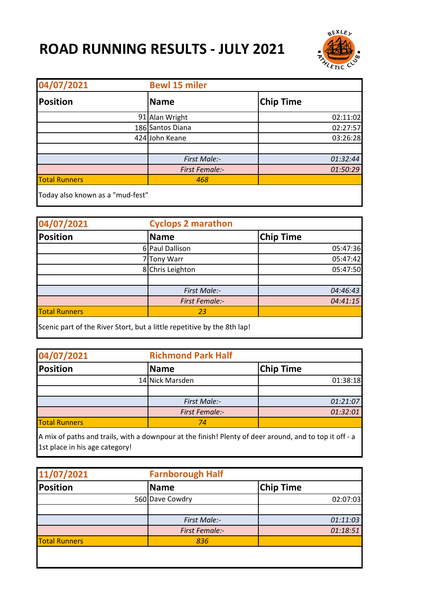## **ROAD RUNNING RESULTS - JULY 2021**



| 04/07/2021                       | <b>Bewl 15 miler</b>  |                  |  |
|----------------------------------|-----------------------|------------------|--|
| <b>Position</b>                  | <b>Name</b>           | <b>Chip Time</b> |  |
|                                  | 91 Alan Wright        | 02:11:02         |  |
|                                  | 186 Santos Diana      | 02:27:57         |  |
|                                  | 424 John Keane        | 03:26:28         |  |
|                                  |                       |                  |  |
|                                  | First Male:-          | 01:32:44         |  |
|                                  | <b>First Female:-</b> | 01:50:29         |  |
| <b>Total Runners</b>             | 468                   |                  |  |
| Today also known as a "mud-fest" |                       |                  |  |

| 04/07/2021                                                              | <b>Cyclops 2 marathon</b> |                  |
|-------------------------------------------------------------------------|---------------------------|------------------|
| <b>Position</b>                                                         | <b>Name</b>               | <b>Chip Time</b> |
|                                                                         | 6 Paul Dallison           | 05:47:36         |
|                                                                         | <b>Tony Warr</b>          | 05:47:42         |
|                                                                         | 8 Chris Leighton          | 05:47:50         |
|                                                                         |                           |                  |
|                                                                         | <b>First Male:-</b>       | 04:46:43         |
|                                                                         | <b>First Female:-</b>     | 04:41:15         |
| <b>Total Runners</b>                                                    | 23                        |                  |
| Scenic part of the River Stort, but a little repetitive by the 8th lap! |                           |                  |

| 04/07/2021           |  | <b>Richmond Park Half</b> |           |
|----------------------|--|---------------------------|-----------|
| Position             |  | <b>Name</b>               | Chip Time |
|                      |  | 14 Nick Marsden           | 01:38:18  |
|                      |  |                           |           |
|                      |  | <b>First Male:-</b>       | 01:21:07  |
|                      |  | <b>First Female:-</b>     | 01:32:01  |
| <b>Total Runners</b> |  | 74                        |           |

A mix of paths and trails, with a downpour at the finish! Plenty of deer around, and to top it off - a 1st place in his age category!

| 11/07/2021           |  | <b>Farnborough Half</b> |                  |
|----------------------|--|-------------------------|------------------|
| Position             |  | <b>Name</b>             | <b>Chip Time</b> |
|                      |  | 560 Dave Cowdry         | 02:07:03         |
|                      |  |                         |                  |
|                      |  | <b>First Male:-</b>     | 01:11:03         |
|                      |  | <b>First Female:-</b>   | 01:18:51         |
| <b>Total Runners</b> |  | 836                     |                  |
|                      |  |                         |                  |
|                      |  |                         |                  |